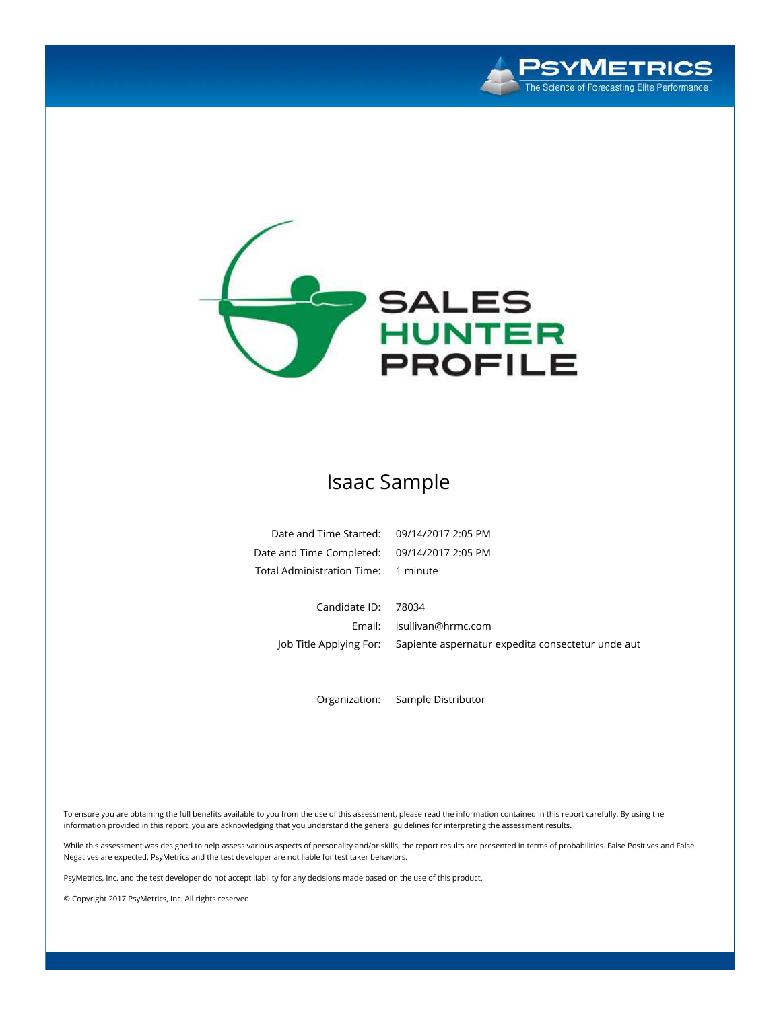



## Isaac Sample

Date and Time Started: 09/14/2017 2:05 PM Date and Time Completed: 09/14/2017 2:05 PM Total Administration Time: 1 minute

Candidate ID: 78034

Email: isullivan@hrmc.com Job Title Applying For: Sapiente aspernatur expedita consectetur unde aut

Organization: Sample Distributor

To ensure you are obtaining the full benefits available to you from the use of this assessment, please read the information contained in this report carefully. By using the information provided in this report, you are acknowledging that you understand the general guidelines for interpreting the assessment results.

While this assessment was designed to help assess various aspects of personality and/or skills, the report results are presented in terms of probabilities. False Positives and False Negatives are expected. PsyMetrics and the test developer are not liable for test taker behaviors.

PsyMetrics, Inc. and the test developer do not accept liability for any decisions made based on the use of this product.

© Copyright 2017 PsyMetrics, Inc. All rights reserved.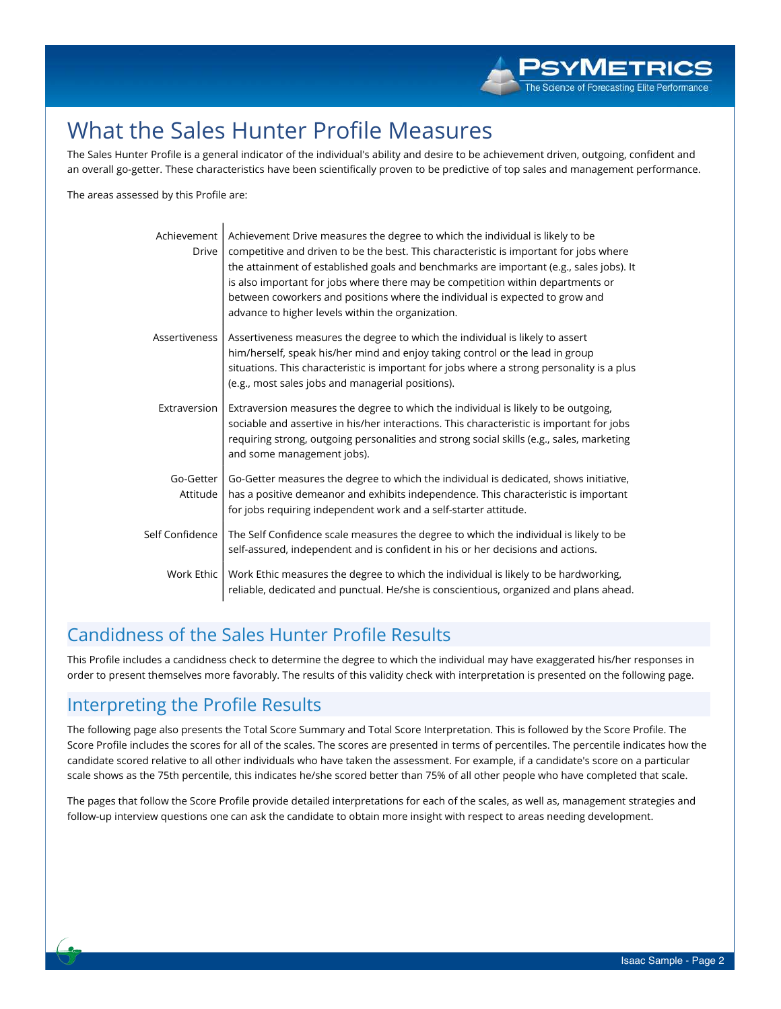## What the Sales Hunter Profile Measures

The Sales Hunter Profile is a general indicator of the individual's ability and desire to be achievement driven, outgoing, confident and an overall go-getter. These characteristics have been scientifically proven to be predictive of top sales and management performance.

The areas assessed by this Profile are:

| Achievement<br><b>Drive</b> | Achievement Drive measures the degree to which the individual is likely to be<br>competitive and driven to be the best. This characteristic is important for jobs where<br>the attainment of established goals and benchmarks are important (e.g., sales jobs). It<br>is also important for jobs where there may be competition within departments or<br>between coworkers and positions where the individual is expected to grow and<br>advance to higher levels within the organization. |
|-----------------------------|--------------------------------------------------------------------------------------------------------------------------------------------------------------------------------------------------------------------------------------------------------------------------------------------------------------------------------------------------------------------------------------------------------------------------------------------------------------------------------------------|
| <b>Assertiveness</b>        | Assertiveness measures the degree to which the individual is likely to assert<br>him/herself, speak his/her mind and enjoy taking control or the lead in group<br>situations. This characteristic is important for jobs where a strong personality is a plus<br>(e.g., most sales jobs and managerial positions).                                                                                                                                                                          |
| Extraversion                | Extraversion measures the degree to which the individual is likely to be outgoing,<br>sociable and assertive in his/her interactions. This characteristic is important for jobs<br>requiring strong, outgoing personalities and strong social skills (e.g., sales, marketing<br>and some management jobs).                                                                                                                                                                                 |
| Go-Getter<br>Attitude       | Go-Getter measures the degree to which the individual is dedicated, shows initiative,<br>has a positive demeanor and exhibits independence. This characteristic is important<br>for jobs requiring independent work and a self-starter attitude.                                                                                                                                                                                                                                           |
| Self Confidence             | The Self Confidence scale measures the degree to which the individual is likely to be<br>self-assured, independent and is confident in his or her decisions and actions.                                                                                                                                                                                                                                                                                                                   |
| Work Ethic                  | Work Ethic measures the degree to which the individual is likely to be hardworking,<br>reliable, dedicated and punctual. He/she is conscientious, organized and plans ahead.                                                                                                                                                                                                                                                                                                               |

## Candidness of the Sales Hunter Profile Results

This Profile includes a candidness check to determine the degree to which the individual may have exaggerated his/her responses in order to present themselves more favorably. The results of this validity check with interpretation is presented on the following page.

## Interpreting the Profile Results

The following page also presents the Total Score Summary and Total Score Interpretation. This is followed by the Score Profile. The Score Profile includes the scores for all of the scales. The scores are presented in terms of percentiles. The percentile indicates how the candidate scored relative to all other individuals who have taken the assessment. For example, if a candidate's score on a particular scale shows as the 75th percentile, this indicates he/she scored better than 75% of all other people who have completed that scale.

The pages that follow the Score Profile provide detailed interpretations for each of the scales, as well as, management strategies and follow-up interview questions one can ask the candidate to obtain more insight with respect to areas needing development.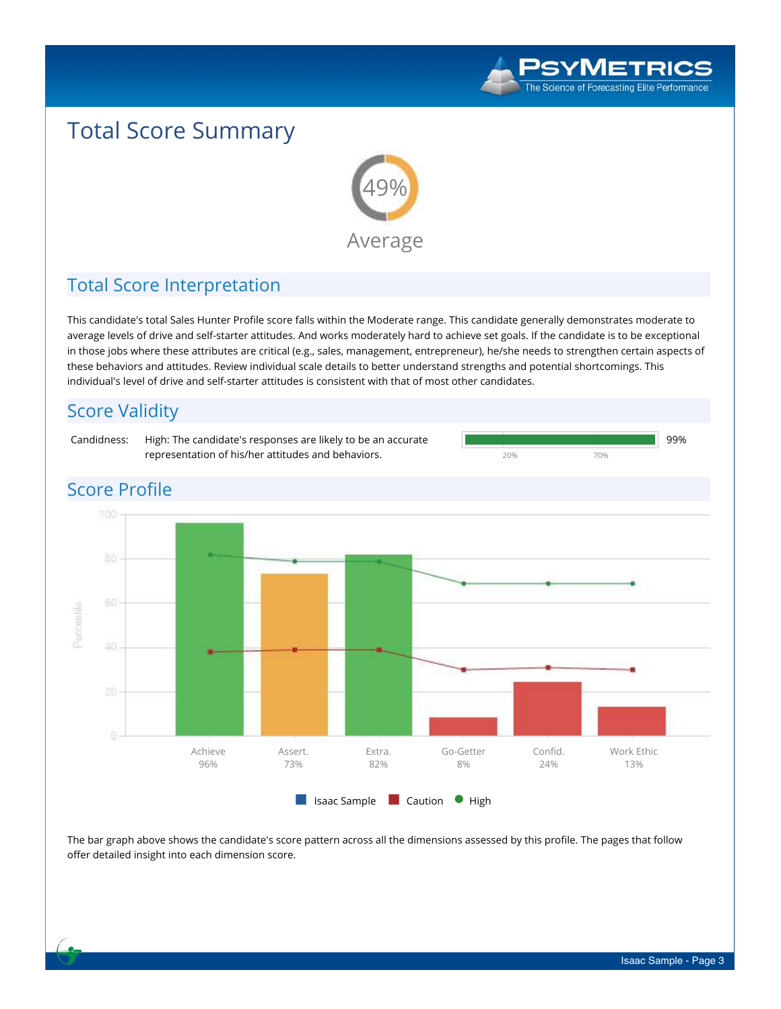

## Total Score Summary



## Total Score Interpretation

This candidate's total Sales Hunter Profile score falls within the Moderate range. This candidate generally demonstrates moderate to average levels of drive and self-starter attitudes. And works moderately hard to achieve set goals. If the candidate is to be exceptional in those jobs where these attributes are critical (e.g., sales, management, entrepreneur), he/she needs to strengthen certain aspects of these behaviors and attitudes. Review individual scale details to better understand strengths and potential shortcomings. This individual's level of drive and self-starter attitudes is consistent with that of most other candidates.



The bar graph above shows the candidate's score pattern across all the dimensions assessed by this profile. The pages that follow offer detailed insight into each dimension score.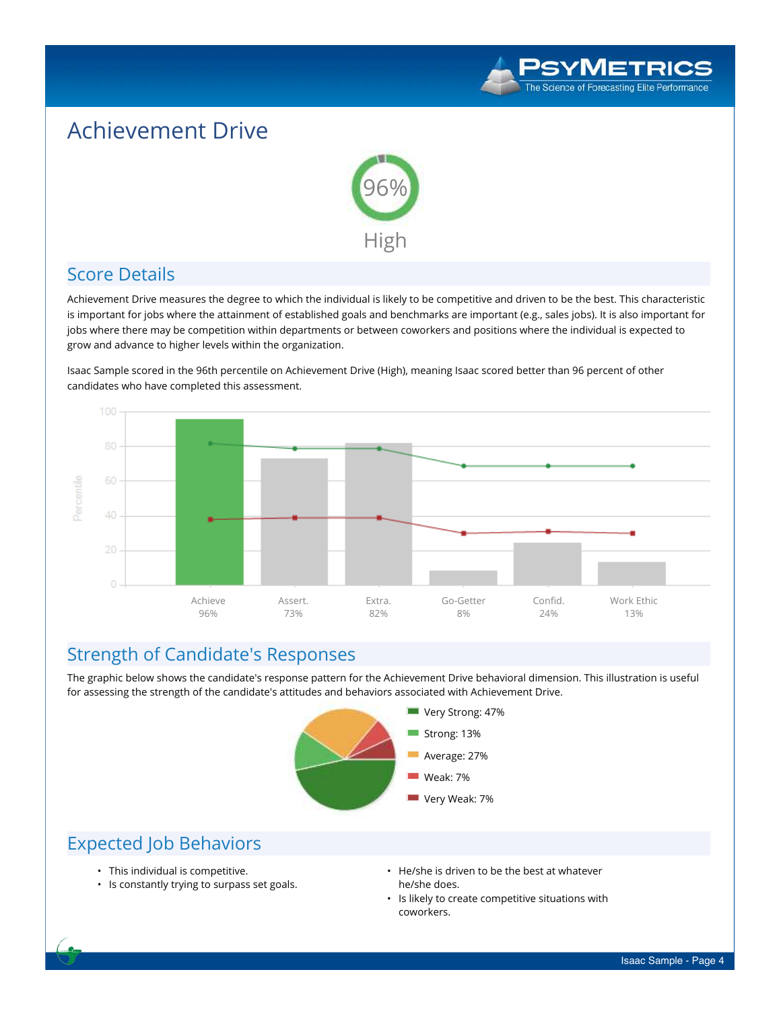

## Achievement Drive



## Score Details

Achievement Drive measures the degree to which the individual is likely to be competitive and driven to be the best. This characteristic is important for jobs where the attainment of established goals and benchmarks are important (e.g., sales jobs). It is also important for jobs where there may be competition within departments or between coworkers and positions where the individual is expected to grow and advance to higher levels within the organization.

Isaac Sample scored in the 96th percentile on Achievement Drive (High), meaning Isaac scored better than 96 percent of other candidates who have completed this assessment.



## Strength of Candidate's Responses

The graphic below shows the candidate's response pattern for the Achievement Drive behavioral dimension. This illustration is useful for assessing the strength of the candidate's attitudes and behaviors associated with Achievement Drive.



- This individual is competitive.
- Is constantly trying to surpass set goals.
- He/she is driven to be the best at whatever he/she does.
- Is likely to create competitive situations with coworkers.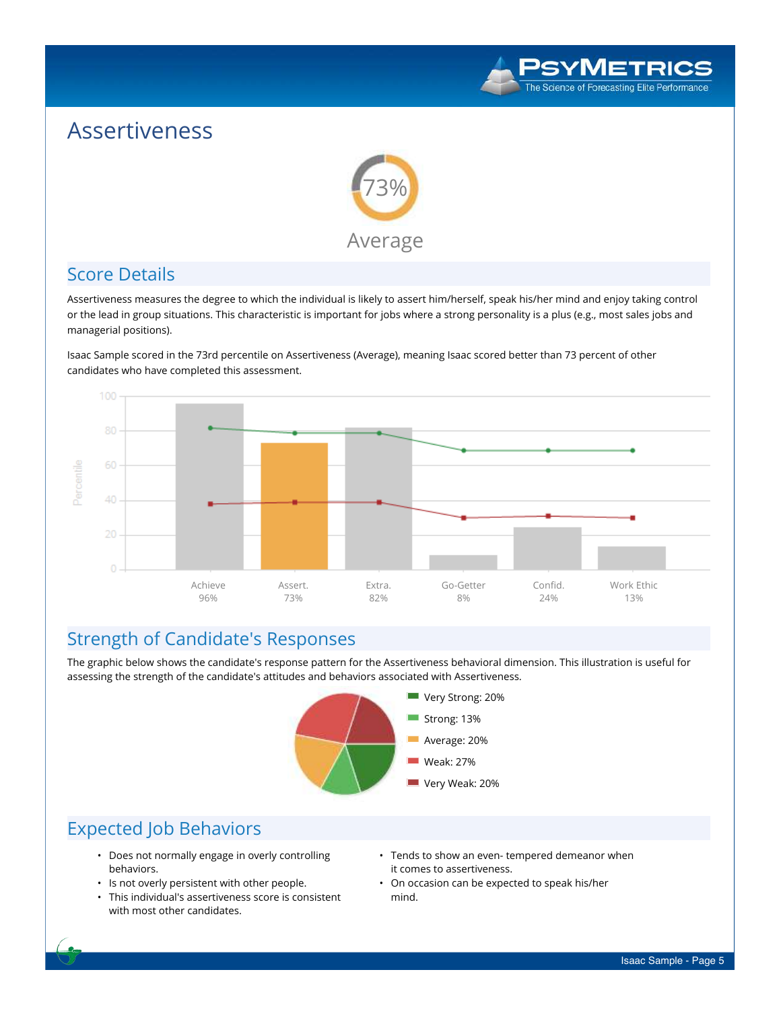

## Assertiveness



## Score Details

Assertiveness measures the degree to which the individual is likely to assert him/herself, speak his/her mind and enjoy taking control or the lead in group situations. This characteristic is important for jobs where a strong personality is a plus (e.g., most sales jobs and managerial positions).

Isaac Sample scored in the 73rd percentile on Assertiveness (Average), meaning Isaac scored better than 73 percent of other candidates who have completed this assessment.



## Strength of Candidate's Responses

The graphic below shows the candidate's response pattern for the Assertiveness behavioral dimension. This illustration is useful for assessing the strength of the candidate's attitudes and behaviors associated with Assertiveness.



- Does not normally engage in overly controlling behaviors.
- Is not overly persistent with other people.
- This individual's assertiveness score is consistent with most other candidates.
- Tends to show an even- tempered demeanor when it comes to assertiveness.
- On occasion can be expected to speak his/her mind.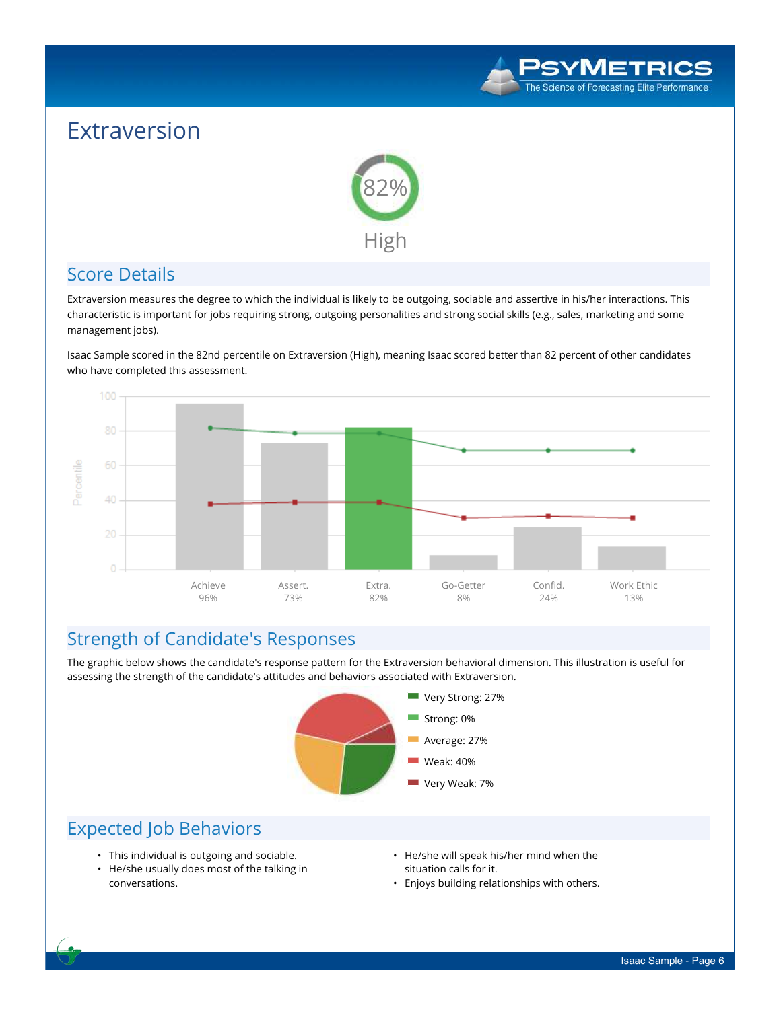

## Extraversion



## Score Details

Extraversion measures the degree to which the individual is likely to be outgoing, sociable and assertive in his/her interactions. This characteristic is important for jobs requiring strong, outgoing personalities and strong social skills (e.g., sales, marketing and some management jobs).

Isaac Sample scored in the 82nd percentile on Extraversion (High), meaning Isaac scored better than 82 percent of other candidates who have completed this assessment.



## Strength of Candidate's Responses

The graphic below shows the candidate's response pattern for the Extraversion behavioral dimension. This illustration is useful for assessing the strength of the candidate's attitudes and behaviors associated with Extraversion.



- This individual is outgoing and sociable.
- He/she usually does most of the talking in conversations.
- He/she will speak his/her mind when the situation calls for it.
- Enjoys building relationships with others.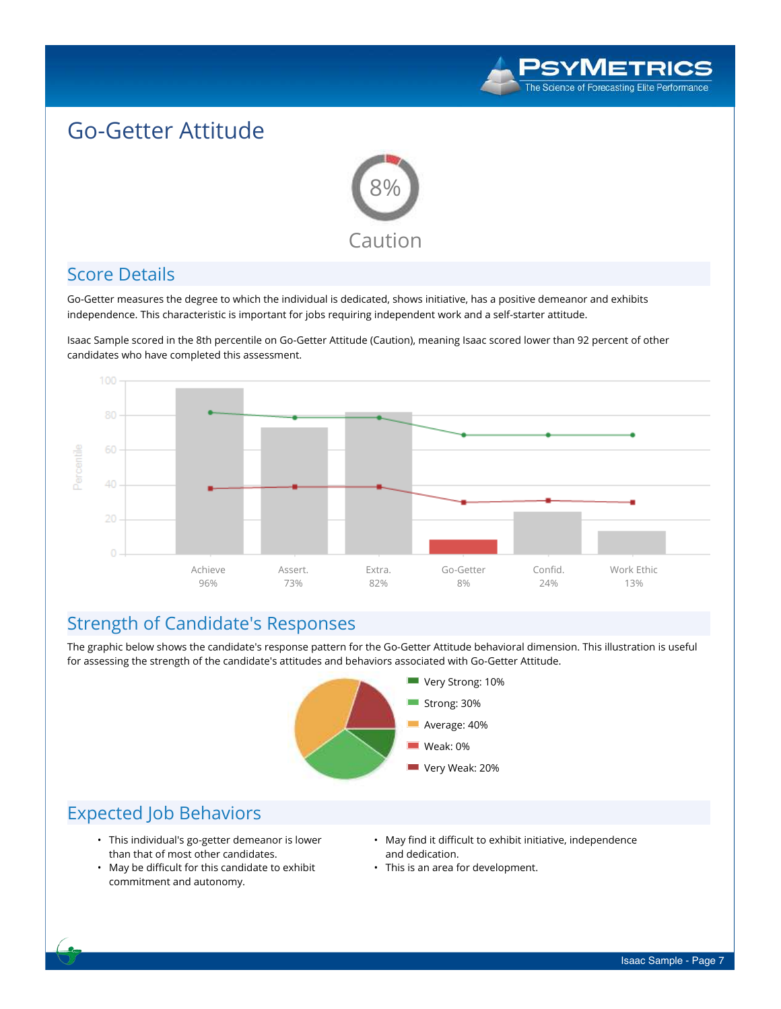

## Go-Getter Attitude



## Score Details

Go-Getter measures the degree to which the individual is dedicated, shows initiative, has a positive demeanor and exhibits independence. This characteristic is important for jobs requiring independent work and a self-starter attitude.

Isaac Sample scored in the 8th percentile on Go-Getter Attitude (Caution), meaning Isaac scored lower than 92 percent of other candidates who have completed this assessment.



## Strength of Candidate's Responses

The graphic below shows the candidate's response pattern for the Go-Getter Attitude behavioral dimension. This illustration is useful for assessing the strength of the candidate's attitudes and behaviors associated with Go-Getter Attitude.



- This individual's go-getter demeanor is lower than that of most other candidates.
- May be difficult for this candidate to exhibit commitment and autonomy.
- May find it difficult to exhibit initiative, independence and dedication.
- This is an area for development.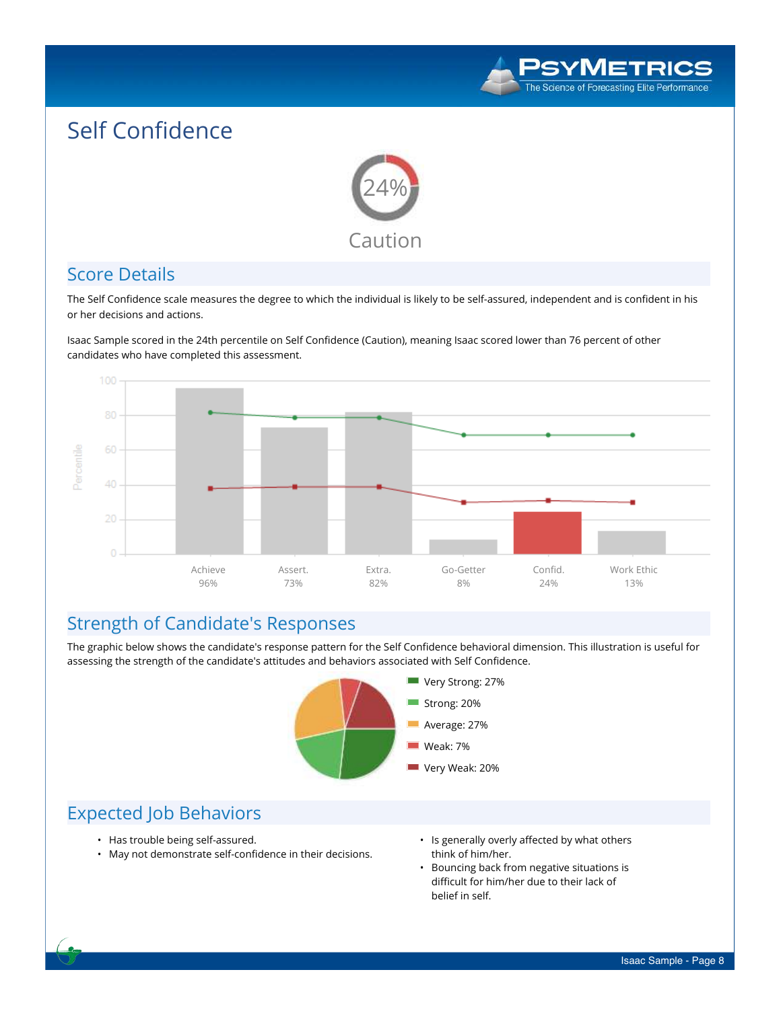

## Self Confidence



## Score Details

The Self Confidence scale measures the degree to which the individual is likely to be self-assured, independent and is confident in his or her decisions and actions.

Isaac Sample scored in the 24th percentile on Self Confidence (Caution), meaning Isaac scored lower than 76 percent of other candidates who have completed this assessment.



## Strength of Candidate's Responses

The graphic below shows the candidate's response pattern for the Self Confidence behavioral dimension. This illustration is useful for assessing the strength of the candidate's attitudes and behaviors associated with Self Confidence.



- Has trouble being self-assured.
- May not demonstrate self-confidence in their decisions.
- Is generally overly affected by what others think of him/her.
- Bouncing back from negative situations is difficult for him/her due to their lack of belief in self.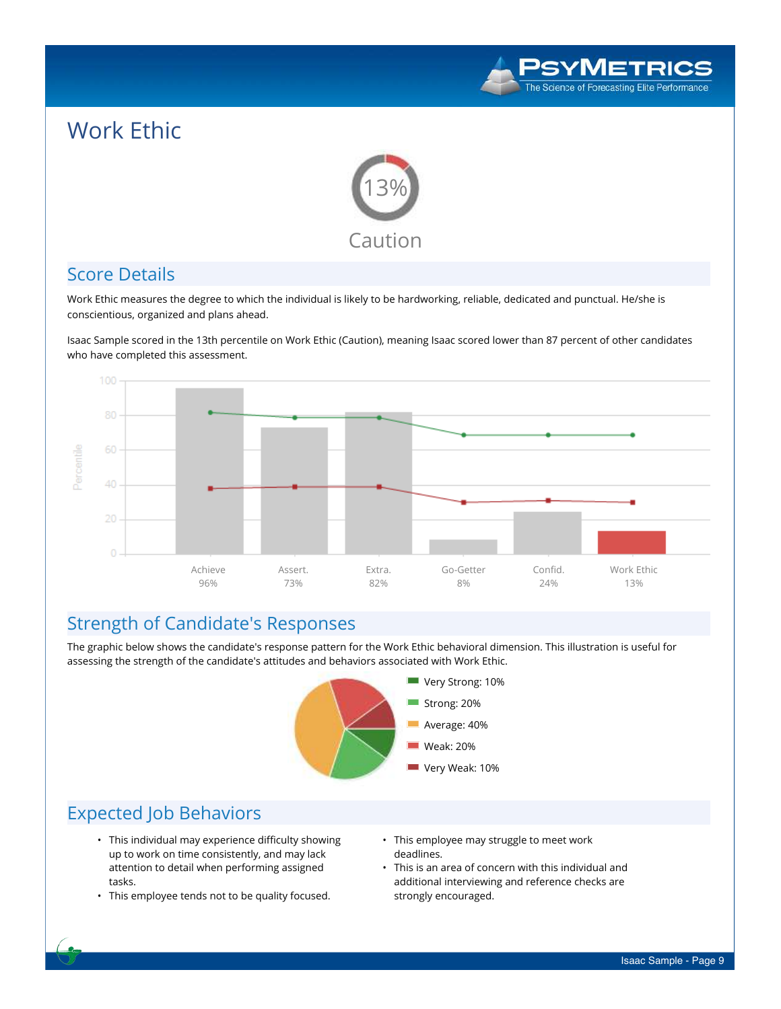

# Work Ethic



## Score Details

Work Ethic measures the degree to which the individual is likely to be hardworking, reliable, dedicated and punctual. He/she is conscientious, organized and plans ahead.

Isaac Sample scored in the 13th percentile on Work Ethic (Caution), meaning Isaac scored lower than 87 percent of other candidates who have completed this assessment.



## Strength of Candidate's Responses

The graphic below shows the candidate's response pattern for the Work Ethic behavioral dimension. This illustration is useful for assessing the strength of the candidate's attitudes and behaviors associated with Work Ethic.



- This individual may experience difficulty showing up to work on time consistently, and may lack attention to detail when performing assigned tasks.
- This employee tends not to be quality focused.
- This employee may struggle to meet work deadlines.
- This is an area of concern with this individual and additional interviewing and reference checks are strongly encouraged.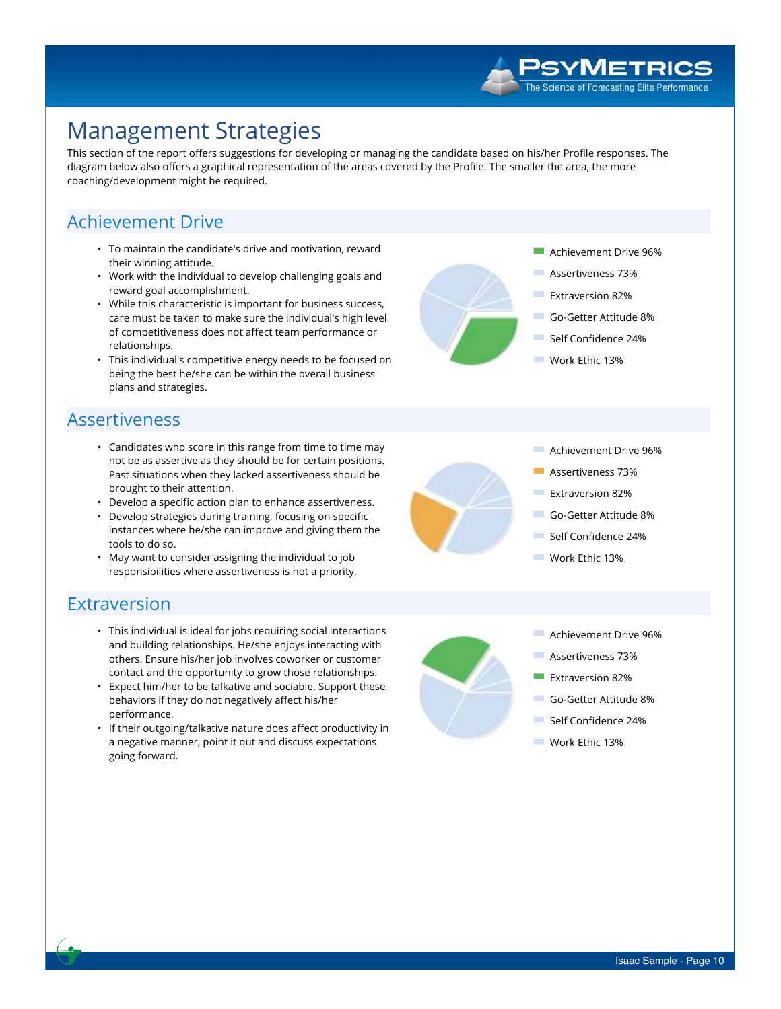## Management Strategies

This section of the report offers suggestions for developing or managing the candidate based on his/her Profile responses. The diagram below also offers a graphical representation of the areas covered by the Profile. The smaller the area, the more coaching/development might be required.

## Achievement Drive

- To maintain the candidate's drive and motivation, reward their winning attitude.
- Work with the individual to develop challenging goals and reward goal accomplishment.
- While this characteristic is important for business success, care must be taken to make sure the individual's high level of competitiveness does not affect team performance or relationships.
- This individual's competitive energy needs to be focused on being the best he/she can be within the overall business plans and strategies.

## Assertiveness

- Candidates who score in this range from time to time may not be as assertive as they should be for certain positions. Past situations when they lacked assertiveness should be brought to their attention.
- Develop a specific action plan to enhance assertiveness.
- Develop strategies during training, focusing on specific instances where he/she can improve and giving them the tools to do so.
- May want to consider assigning the individual to job responsibilities where assertiveness is not a priority.

## Extraversion

- This individual is ideal for jobs requiring social interactions and building relationships. He/she enjoys interacting with others. Ensure his/her job involves coworker or customer contact and the opportunity to grow those relationships.
- Expect him/her to be talkative and sociable. Support these behaviors if they do not negatively affect his/her performance.
- If their outgoing/talkative nature does affect productivity in a negative manner, point it out and discuss expectations going forward.



Achievement Drive 96% **The Co** 

PSYMETRICS The Science of Forecasting Elite Performance

- Assertiveness 73%
- Extraversion 82%
- Go-Getter Attitude 8%
- Self Confidence 24%
- Work Ethic 13%
- Achievement Drive 96%
- Assertiveness 73%
- Extraversion 82%
- Go-Getter Attitude 8%
- Self Confidence 24%
- Work Ethic 13%
- Achievement Drive 96%
- Assertiveness 73%
- Extraversion 82%
- Go-Getter Attitude 8%
- Self Confidence 24%
- Work Ethic 13%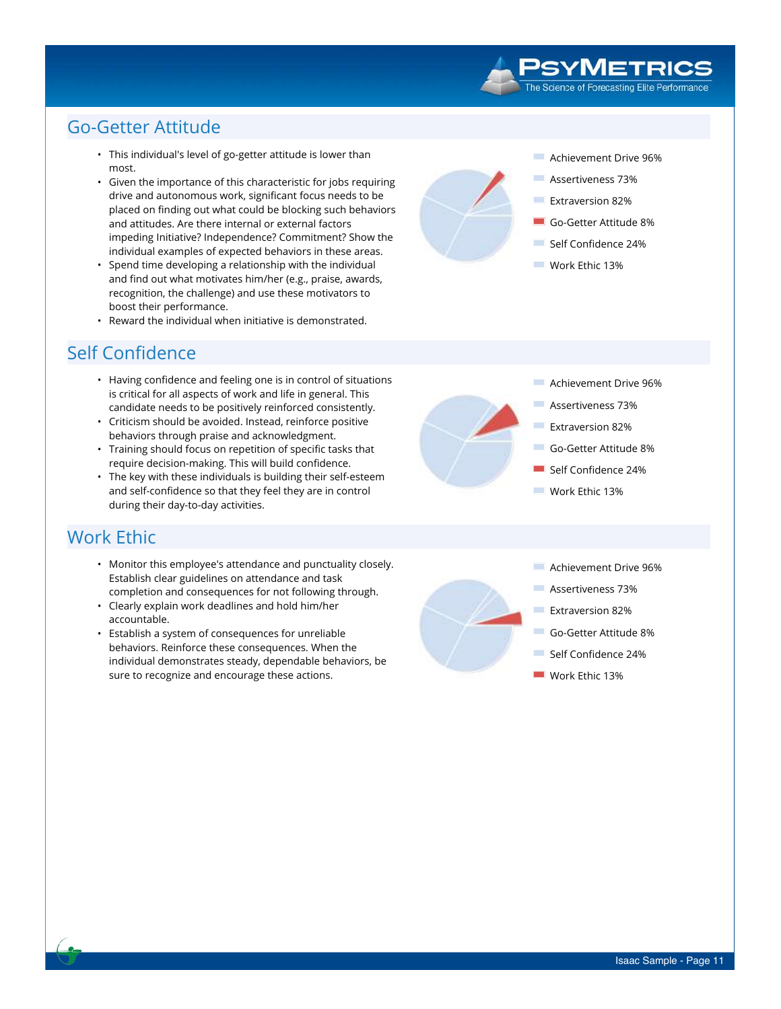### PSYMETRICS The Science of Forecasting Elite Performance

## Go-Getter Attitude

- This individual's level of go-getter attitude is lower than most.
- Given the importance of this characteristic for jobs requiring drive and autonomous work, significant focus needs to be placed on finding out what could be blocking such behaviors and attitudes. Are there internal or external factors impeding Initiative? Independence? Commitment? Show the individual examples of expected behaviors in these areas.
- Spend time developing a relationship with the individual and find out what motivates him/her (e.g., praise, awards, recognition, the challenge) and use these motivators to boost their performance.
- Reward the individual when initiative is demonstrated.

## Self Confidence

- Having confidence and feeling one is in control of situations is critical for all aspects of work and life in general. This candidate needs to be positively reinforced consistently. • Criticism should be avoided. Instead, reinforce positive
- behaviors through praise and acknowledgment.
- Training should focus on repetition of specific tasks that require decision-making. This will build confidence.
- The key with these individuals is building their self-esteem and self-confidence so that they feel they are in control during their day-to-day activities.

## Work Ethic

- Monitor this employee's attendance and punctuality closely. Establish clear guidelines on attendance and task completion and consequences for not following through.
- Clearly explain work deadlines and hold him/her accountable.
- Establish a system of consequences for unreliable behaviors. Reinforce these consequences. When the individual demonstrates steady, dependable behaviors, be sure to recognize and encourage these actions.



- Achievement Drive 96%
- Assertiveness 73%
- Extraversion 82%
- Go-Getter Attitude 8%
- Self Confidence 24%
- Work Ethic 13%



- Achievement Drive 96%
- Assertiveness 73%
- Extraversion 82%
- Go-Getter Attitude 8%
- Self Confidence 24%
- Work Ethic 13%



- Assertiveness 73%
- Extraversion 82%
- Go-Getter Attitude 8%
- Self Confidence 24%
- Work Ethic 13%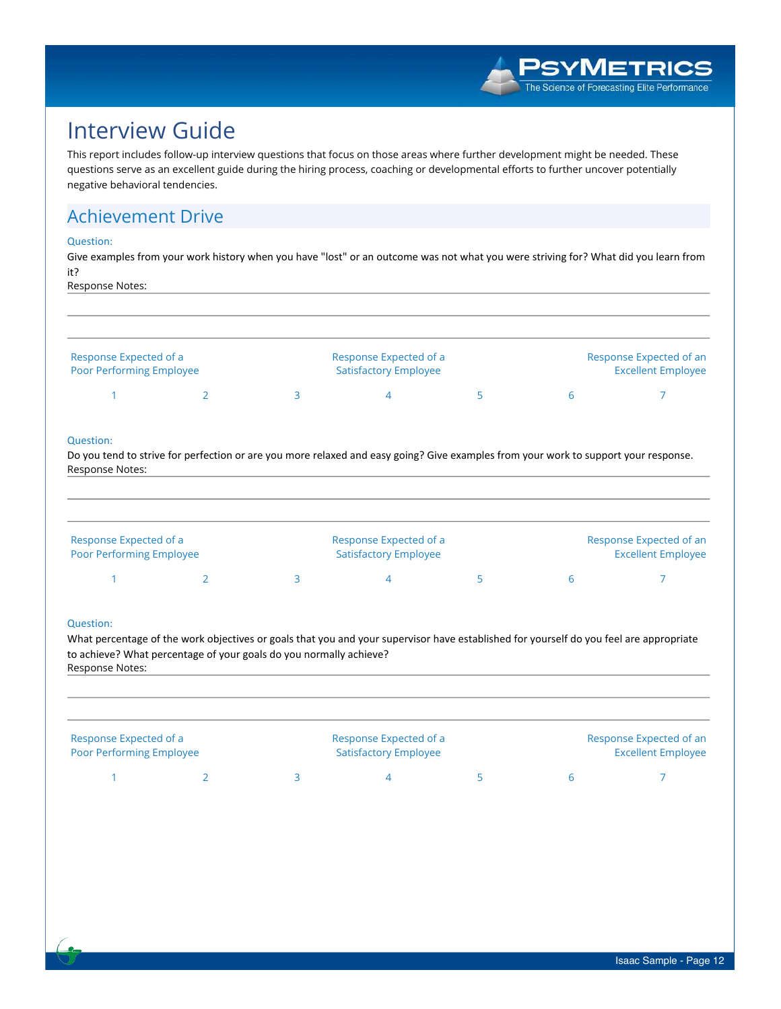## Interview Guide

This report includes follow-up interview questions that focus on those areas where further development might be needed. These questions serve as an excellent guide during the hiring process, coaching or developmental efforts to further uncover potentially negative behavioral tendencies.

## Achievement Drive

### Question:

Give examples from your work history when you have "lost" or an outcome was not what you were striving for? What did you learn from it?

Response Notes:

| Response Expected of a<br><b>Poor Performing Employee</b> |  | Response Expected of a<br><b>Satisfactory Employee</b> |  |  | Response Expected of an<br><b>Excellent Employee</b> |  |  |
|-----------------------------------------------------------|--|--------------------------------------------------------|--|--|------------------------------------------------------|--|--|
|                                                           |  |                                                        |  |  |                                                      |  |  |

### Question:

Do you tend to strive for perfection or are you more relaxed and easy going? Give examples from your work to support your response. Response Notes:

| Response Expected of a<br><b>Poor Performing Employee</b> |  | Response Expected of a<br><b>Satisfactory Employee</b> |  | Response Expected of an<br><b>Excellent Employee</b> |
|-----------------------------------------------------------|--|--------------------------------------------------------|--|------------------------------------------------------|
|                                                           |  |                                                        |  |                                                      |

### Question:

What percentage of the work objectives or goals that you and your supervisor have established for yourself do you feel are appropriate to achieve? What percentage of your goals do you normally achieve? Response Notes:

| Response Expected of a<br>Poor Performing Employee |  | Response Expected of a<br><b>Satisfactory Employee</b> |  |  | Response Expected of an<br><b>Excellent Employee</b> |  |  |
|----------------------------------------------------|--|--------------------------------------------------------|--|--|------------------------------------------------------|--|--|
|                                                    |  |                                                        |  |  |                                                      |  |  |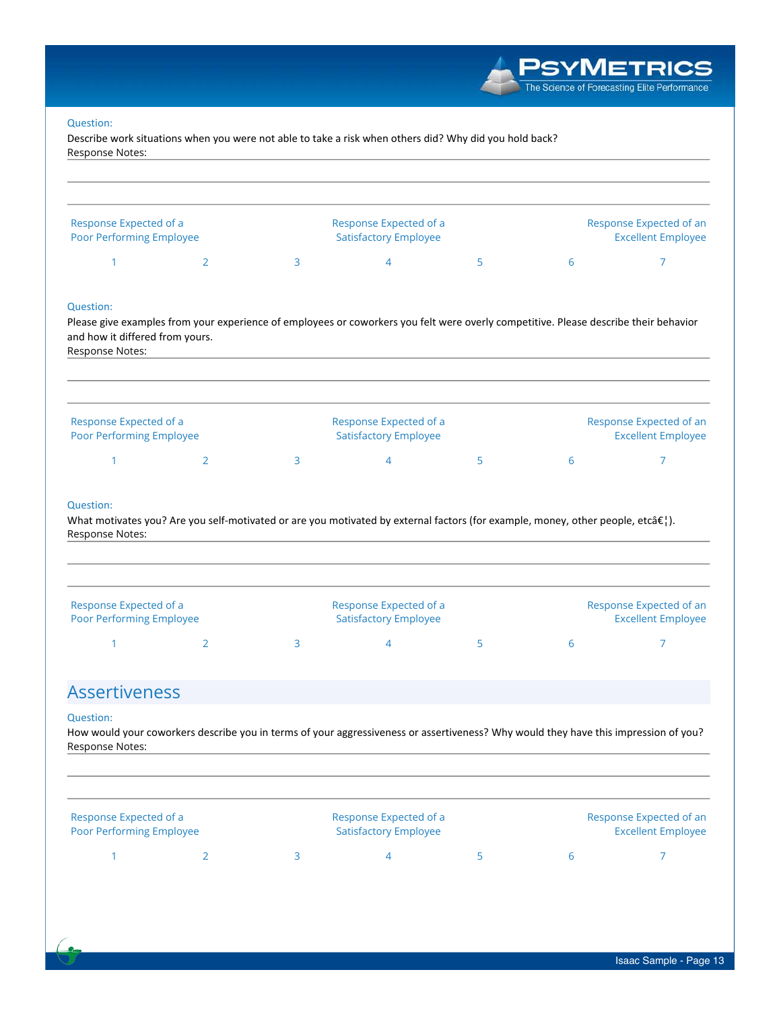Describe work situations when you were not able to take a risk when others did? Why did you hold back? Response Notes:

| Response Expected of a<br><b>Poor Performing Employee</b> |   | Response Expected of a<br><b>Satisfactory Employee</b> |   |  | Response Expected of an<br><b>Excellent Employee</b> |
|-----------------------------------------------------------|---|--------------------------------------------------------|---|--|------------------------------------------------------|
|                                                           | 4 |                                                        | b |  |                                                      |

### Question:

Please give examples from your experience of employees or coworkers you felt were overly competitive. Please describe their behavior and how it differed from yours. Response Notes:

| Response Expected of a<br><b>Poor Performing Employee</b> |  | Response Expected of a<br><b>Satisfactory Employee</b> |  | Response Expected of an<br><b>Excellent Employee</b> |
|-----------------------------------------------------------|--|--------------------------------------------------------|--|------------------------------------------------------|
|                                                           |  |                                                        |  |                                                      |

### Question:

What motivates you? Are you self-motivated or are you motivated by external factors (for example, money, other people, etcâ $\epsilon$ ]. Response Notes:

| Response Expected of a<br><b>Poor Performing Employee</b> |  | Response Expected of a<br><b>Satisfactory Employee</b> |  | Response Expected of an<br><b>Excellent Employee</b> |
|-----------------------------------------------------------|--|--------------------------------------------------------|--|------------------------------------------------------|
|                                                           |  |                                                        |  |                                                      |

## Assertiveness

### Question:

How would your coworkers describe you in terms of your aggressiveness or assertiveness? Why would they have this impression of you? Response Notes:

| Response Expected of a | <b>Poor Performing Employee</b> |  | Response Expected of a<br><b>Satisfactory Employee</b> |  | Response Expected of an<br><b>Excellent Employee</b> |
|------------------------|---------------------------------|--|--------------------------------------------------------|--|------------------------------------------------------|
|                        |                                 |  |                                                        |  |                                                      |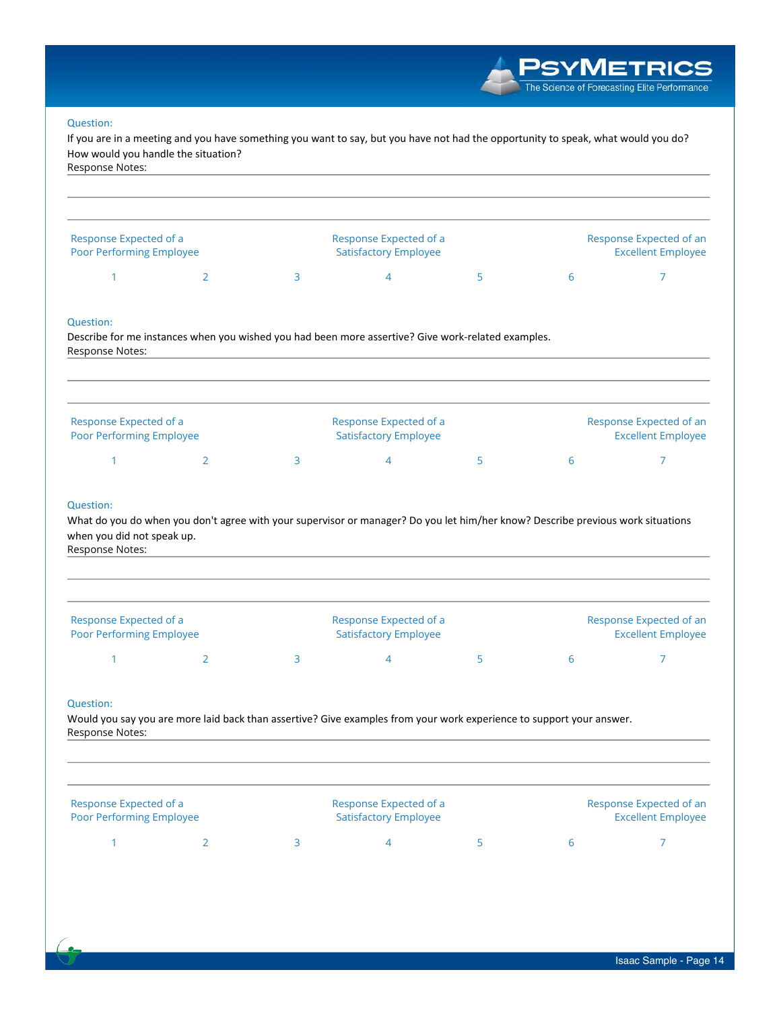| <b>PSYMETRK</b>                         |
|-----------------------------------------|
| The Science of Forecasting Elite Perfor |
|                                         |

If you are in a meeting and you have something you want to say, but you have not had the opportunity to speak, what would you do? How would you handle the situation? Response Notes:

| Response Expected of a<br><b>Poor Performing Employee</b> |  | Response Expected of a<br><b>Satisfactory Employee</b> |  | Response Expected of an<br><b>Excellent Employee</b> |
|-----------------------------------------------------------|--|--------------------------------------------------------|--|------------------------------------------------------|
|                                                           |  |                                                        |  |                                                      |

### Question:

Describe for me instances when you wished you had been more assertive? Give work-related examples. Response Notes:

| Response Expected of a<br><b>Poor Performing Employee</b> | Response Expected of a<br><b>Satisfactory Employee</b> |  | Response Expected of an<br><b>Excellent Employee</b> |  |
|-----------------------------------------------------------|--------------------------------------------------------|--|------------------------------------------------------|--|
|                                                           |                                                        |  |                                                      |  |

### Question:

What do you do when you don't agree with your supervisor or manager? Do you let him/her know? Describe previous work situations when you did not speak up.

Response Notes:

| Response Expected of a          |  | Response Expected of a       |  |  | Response Expected of an   |  |  |
|---------------------------------|--|------------------------------|--|--|---------------------------|--|--|
| <b>Poor Performing Employee</b> |  | <b>Satisfactory Employee</b> |  |  | <b>Excellent Employee</b> |  |  |
|                                 |  |                              |  |  |                           |  |  |

### Question:

Would you say you are more laid back than assertive? Give examples from your work experience to support your answer. Response Notes:

| Response Expected of a<br>Poor Performing Employee |  |  | Response Expected of a<br><b>Satisfactory Employee</b> |   | Response Expected of an<br><b>Excellent Employee</b> |
|----------------------------------------------------|--|--|--------------------------------------------------------|---|------------------------------------------------------|
|                                                    |  |  |                                                        | h |                                                      |

nance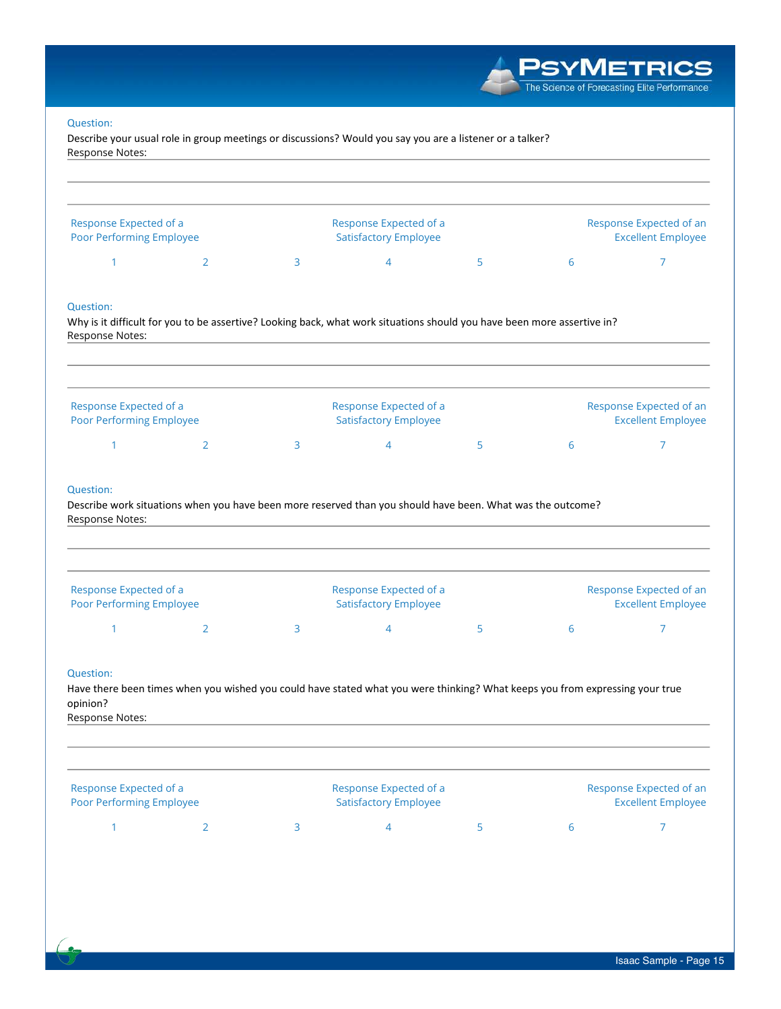Describe your usual role in group meetings or discussions? Would you say you are a listener or a talker? Response Notes:

| Response Expected of a                                                                                                                       |                |   | Response Expected of a                                                                                                       |   |   | Response Expected of an                              |
|----------------------------------------------------------------------------------------------------------------------------------------------|----------------|---|------------------------------------------------------------------------------------------------------------------------------|---|---|------------------------------------------------------|
| Poor Performing Employee<br>1                                                                                                                | $\overline{2}$ | 3 | <b>Satisfactory Employee</b><br>4                                                                                            | 5 | 6 | <b>Excellent Employee</b><br>$\overline{7}$          |
|                                                                                                                                              |                |   |                                                                                                                              |   |   |                                                      |
| <b>Question:</b><br>Response Notes:                                                                                                          |                |   | Why is it difficult for you to be assertive? Looking back, what work situations should you have been more assertive in?      |   |   |                                                      |
| Response Expected of a<br>Poor Performing Employee                                                                                           |                |   | Response Expected of a<br><b>Satisfactory Employee</b>                                                                       |   |   | Response Expected of an<br><b>Excellent Employee</b> |
|                                                                                                                                              |                |   |                                                                                                                              | 5 | 6 | 7                                                    |
| 1                                                                                                                                            | $\overline{2}$ | 3 | 4<br>Describe work situations when you have been more reserved than you should have been. What was the outcome?              |   |   |                                                      |
|                                                                                                                                              |                |   | Response Expected of a                                                                                                       |   |   |                                                      |
| 1                                                                                                                                            | $\overline{2}$ | 3 | <b>Satisfactory Employee</b><br>4                                                                                            | 5 | 6 | 7                                                    |
| <b>Question:</b><br>Response Notes:<br>Response Expected of a<br>Poor Performing Employee<br><b>Question:</b><br>opinion?<br>Response Notes: |                |   | Have there been times when you wished you could have stated what you were thinking? What keeps you from expressing your true |   |   | Response Expected of an<br><b>Excellent Employee</b> |
| Response Expected of a<br>Poor Performing Employee                                                                                           |                |   | Response Expected of a<br><b>Satisfactory Employee</b>                                                                       |   |   | Response Expected of an<br><b>Excellent Employee</b> |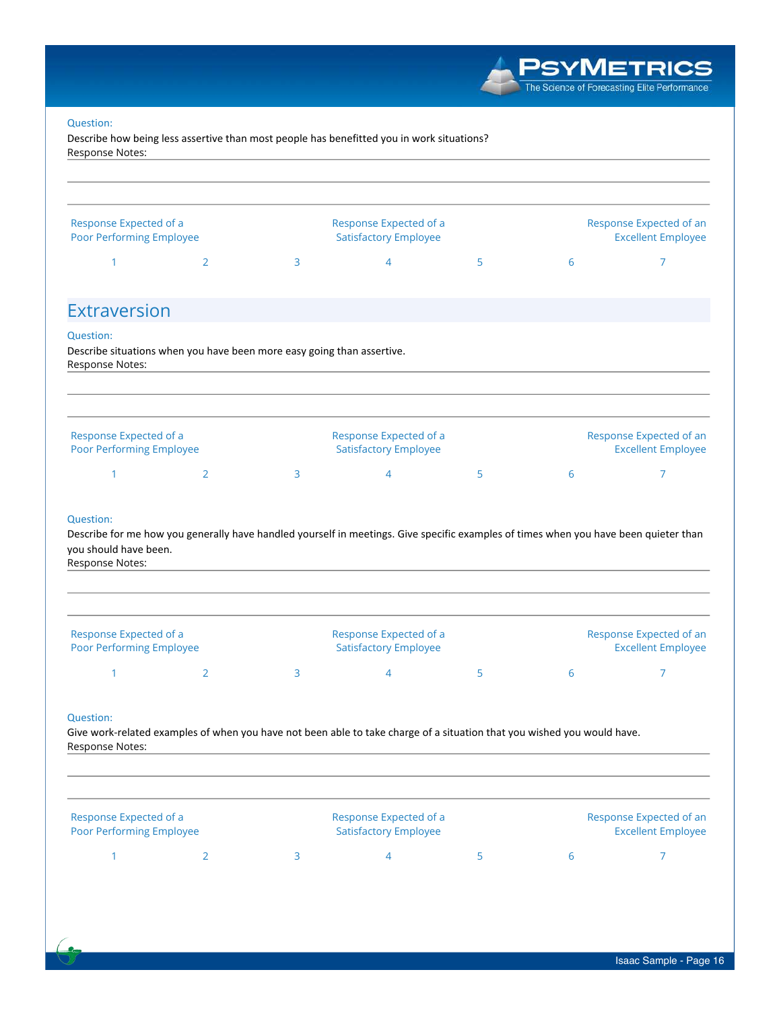|                                                           |                                                                        |   |                                                                                                                                      |   |   | The Science of Forecasting Elite Performance         |
|-----------------------------------------------------------|------------------------------------------------------------------------|---|--------------------------------------------------------------------------------------------------------------------------------------|---|---|------------------------------------------------------|
| Question:<br>Response Notes:                              |                                                                        |   | Describe how being less assertive than most people has benefitted you in work situations?                                            |   |   |                                                      |
| Response Expected of a<br><b>Poor Performing Employee</b> |                                                                        |   | Response Expected of a<br><b>Satisfactory Employee</b>                                                                               |   |   | Response Expected of an<br><b>Excellent Employee</b> |
| $\mathbf{1}$                                              | $\overline{2}$                                                         | 3 | $\overline{4}$                                                                                                                       | 5 | 6 | 7                                                    |
| <b>Extraversion</b><br>Question:<br>Response Notes:       | Describe situations when you have been more easy going than assertive. |   |                                                                                                                                      |   |   |                                                      |
| Response Expected of a<br><b>Poor Performing Employee</b> |                                                                        |   | Response Expected of a<br><b>Satisfactory Employee</b>                                                                               |   |   | Response Expected of an<br><b>Excellent Employee</b> |
| $\mathbf{1}$                                              | $\overline{2}$                                                         | 3 | 4                                                                                                                                    | 5 | 6 | 7                                                    |
| Question:<br>you should have been.<br>Response Notes:     |                                                                        |   | Describe for me how you generally have handled yourself in meetings. Give specific examples of times when you have been quieter than |   |   |                                                      |
| Response Expected of a<br>Poor Performing Employee        |                                                                        |   | Response Expected of a<br><b>Satisfactory Employee</b>                                                                               |   |   | Response Expected of an<br><b>Excellent Employee</b> |
| $\mathbf{1}$                                              | $\overline{2}$                                                         | 3 | $\overline{4}$                                                                                                                       | 5 | 6 | 7                                                    |

Give work-related examples of when you have not been able to take charge of a situation that you wished you would have. Response Notes:

| Response Expected of a<br><b>Poor Performing Employee</b> |  | Response Expected of a<br><b>Satisfactory Employee</b> |   | Response Expected of an<br><b>Excellent Employee</b> |
|-----------------------------------------------------------|--|--------------------------------------------------------|---|------------------------------------------------------|
|                                                           |  | $\overline{4}$                                         | h |                                                      |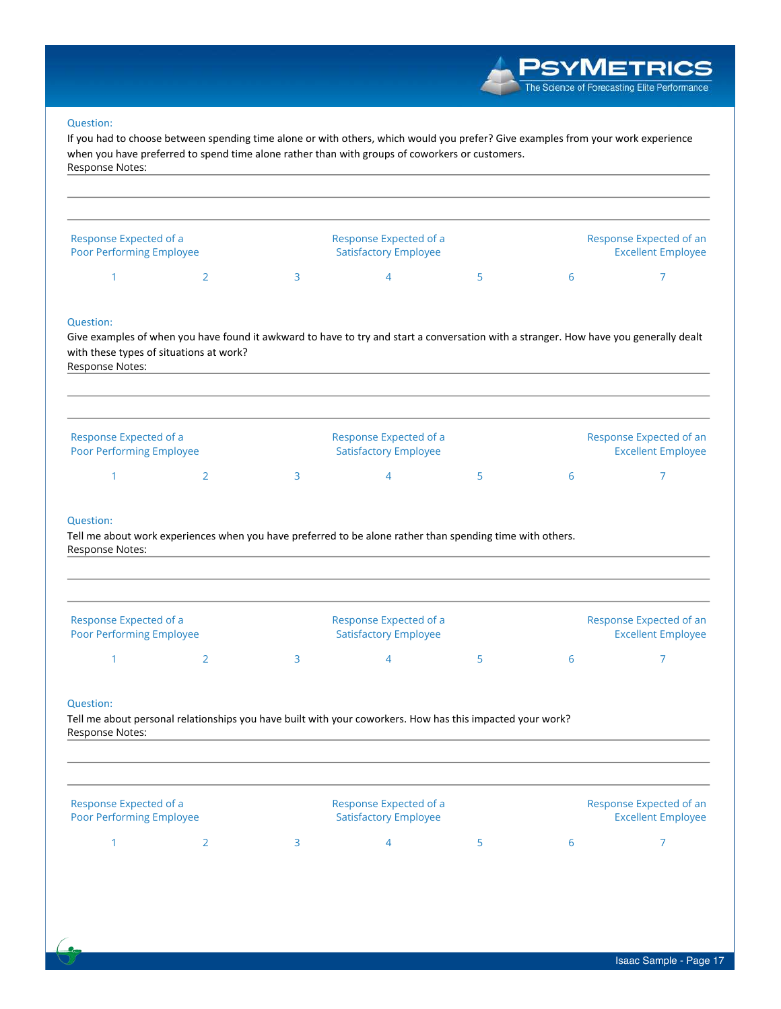If you had to choose between spending time alone or with others, which would you prefer? Give examples from your work experience when you have preferred to spend time alone rather than with groups of coworkers or customers. Response Notes:

| Response Expected of a<br>Poor Performing Employee |  | Response Expected of a<br><b>Satisfactory Employee</b> |  | Response Expected of an<br><b>Excellent Employee</b> |
|----------------------------------------------------|--|--------------------------------------------------------|--|------------------------------------------------------|
|                                                    |  |                                                        |  |                                                      |

#### Question:

Give examples of when you have found it awkward to have to try and start a conversation with a stranger. How have you generally dealt with these types of situations at work? Response Notes:

| Response Expected of a<br><b>Poor Performing Employee</b> |  | Response Expected of a<br><b>Satisfactory Employee</b> |        | Response Expected of an<br><b>Excellent Employee</b> |
|-----------------------------------------------------------|--|--------------------------------------------------------|--------|------------------------------------------------------|
|                                                           |  |                                                        | $\sim$ |                                                      |

#### Question:

Tell me about work experiences when you have preferred to be alone rather than spending time with others. Response Notes:

| Response Expected of a<br><b>Poor Performing Employee</b> |  | Response Expected of a<br><b>Satisfactory Employee</b> |  | Response Expected of an<br><b>Excellent Employee</b> |
|-----------------------------------------------------------|--|--------------------------------------------------------|--|------------------------------------------------------|
|                                                           |  |                                                        |  |                                                      |

### Question:

Tell me about personal relationships you have built with your coworkers. How has this impacted your work? Response Notes:

| Response Expected of a<br><b>Poor Performing Employee</b> |  | Response Expected of a<br><b>Satisfactory Employee</b> |  | Response Expected of an<br><b>Excellent Employee</b> |
|-----------------------------------------------------------|--|--------------------------------------------------------|--|------------------------------------------------------|
|                                                           |  |                                                        |  |                                                      |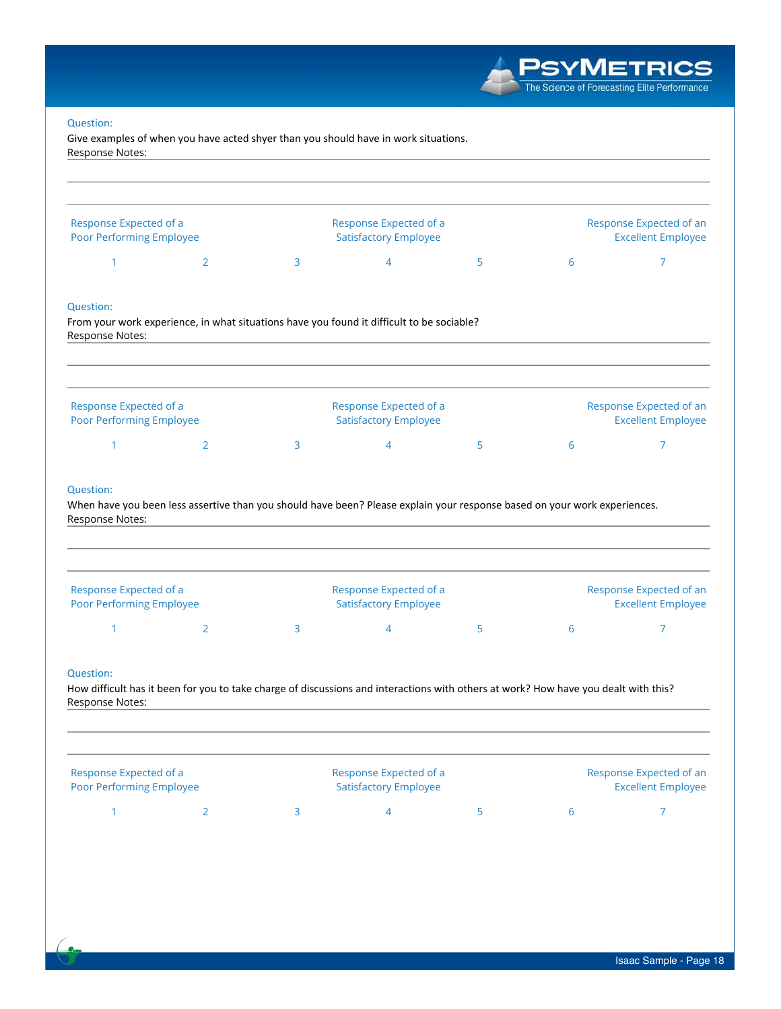Give examples of when you have acted shyer than you should have in work situations. Response Notes:

| Response Expected of a<br>Poor Performing Employee |                                                                                                                                     |   | Response Expected of a<br><b>Satisfactory Employee</b> |   |   | Response Expected of an<br><b>Excellent Employee</b> |
|----------------------------------------------------|-------------------------------------------------------------------------------------------------------------------------------------|---|--------------------------------------------------------|---|---|------------------------------------------------------|
| 1                                                  | 2                                                                                                                                   | 3 | $\overline{4}$                                         | 5 | 6 | 7                                                    |
| <b>Question:</b><br>Response Notes:                | From your work experience, in what situations have you found it difficult to be sociable?                                           |   |                                                        |   |   |                                                      |
| Response Expected of a<br>Poor Performing Employee |                                                                                                                                     |   | Response Expected of a<br><b>Satisfactory Employee</b> |   |   | Response Expected of an<br><b>Excellent Employee</b> |
| 1                                                  | 2                                                                                                                                   | 3 | $\overline{4}$                                         | 5 | 6 | $\overline{7}$                                       |
|                                                    |                                                                                                                                     |   |                                                        |   |   |                                                      |
| Response Expected of a<br>Poor Performing Employee |                                                                                                                                     |   | Response Expected of a<br><b>Satisfactory Employee</b> |   |   | Response Expected of an<br><b>Excellent Employee</b> |
| 1                                                  | 2                                                                                                                                   | 3 | 4                                                      | 5 | 6 | $\overline{7}$                                       |
| <b>Question:</b><br>Response Notes:                | How difficult has it been for you to take charge of discussions and interactions with others at work? How have you dealt with this? |   |                                                        |   |   |                                                      |
| Response Expected of a<br>Poor Performing Employee |                                                                                                                                     |   | Response Expected of a<br><b>Satisfactory Employee</b> |   |   | Response Expected of an<br><b>Excellent Employee</b> |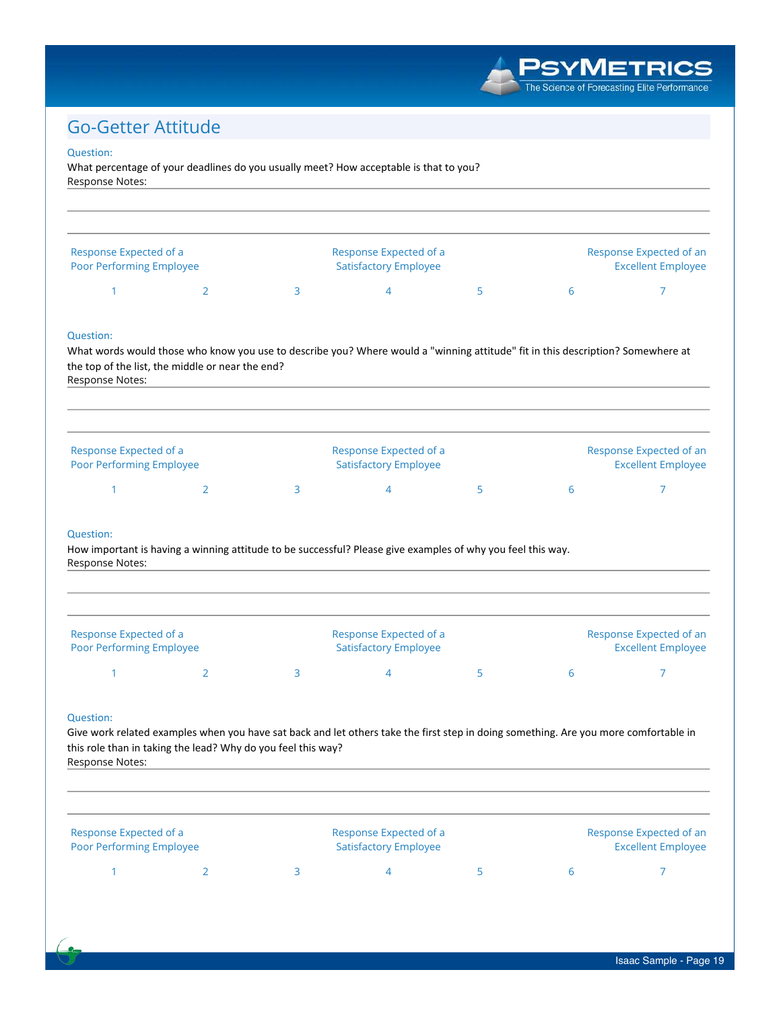

## Go-Getter Attitude

### Question:

What percentage of your deadlines do you usually meet? How acceptable is that to you? Response Notes:

| Response Expected of a<br>Poor Performing Employee                  |   |   | Response Expected of a<br><b>Satisfactory Employee</b>                                                                          |   |   | Response Expected of an<br><b>Excellent Employee</b> |  |
|---------------------------------------------------------------------|---|---|---------------------------------------------------------------------------------------------------------------------------------|---|---|------------------------------------------------------|--|
|                                                                     | 2 | 3 | 4                                                                                                                               | 5 | 6 |                                                      |  |
|                                                                     |   |   |                                                                                                                                 |   |   |                                                      |  |
| <b>Question:</b>                                                    |   |   |                                                                                                                                 |   |   |                                                      |  |
| the top of the list, the middle or near the end?<br>Response Notes: |   |   | What words would those who know you use to describe you? Where would a "winning attitude" fit in this description? Somewhere at |   |   |                                                      |  |
|                                                                     |   |   |                                                                                                                                 |   |   |                                                      |  |

#### Question:

How important is having a winning attitude to be successful? Please give examples of why you feel this way. Response Notes:

| Response Expected of a<br><b>Poor Performing Employee</b> |  | Response Expected of a<br><b>Satisfactory Employee</b> |  | Response Expected of an<br><b>Excellent Employee</b> |
|-----------------------------------------------------------|--|--------------------------------------------------------|--|------------------------------------------------------|
|                                                           |  |                                                        |  |                                                      |

1 2 3 4 5 6 7

### Question:

Give work related examples when you have sat back and let others take the first step in doing something. Are you more comfortable in this role than in taking the lead? Why do you feel this way? Response Notes:

| Response Expected of a<br><b>Poor Performing Employee</b> |  | Response Expected of a<br><b>Satisfactory Employee</b> |  | Response Expected of an<br><b>Excellent Employee</b> |
|-----------------------------------------------------------|--|--------------------------------------------------------|--|------------------------------------------------------|
|                                                           |  |                                                        |  |                                                      |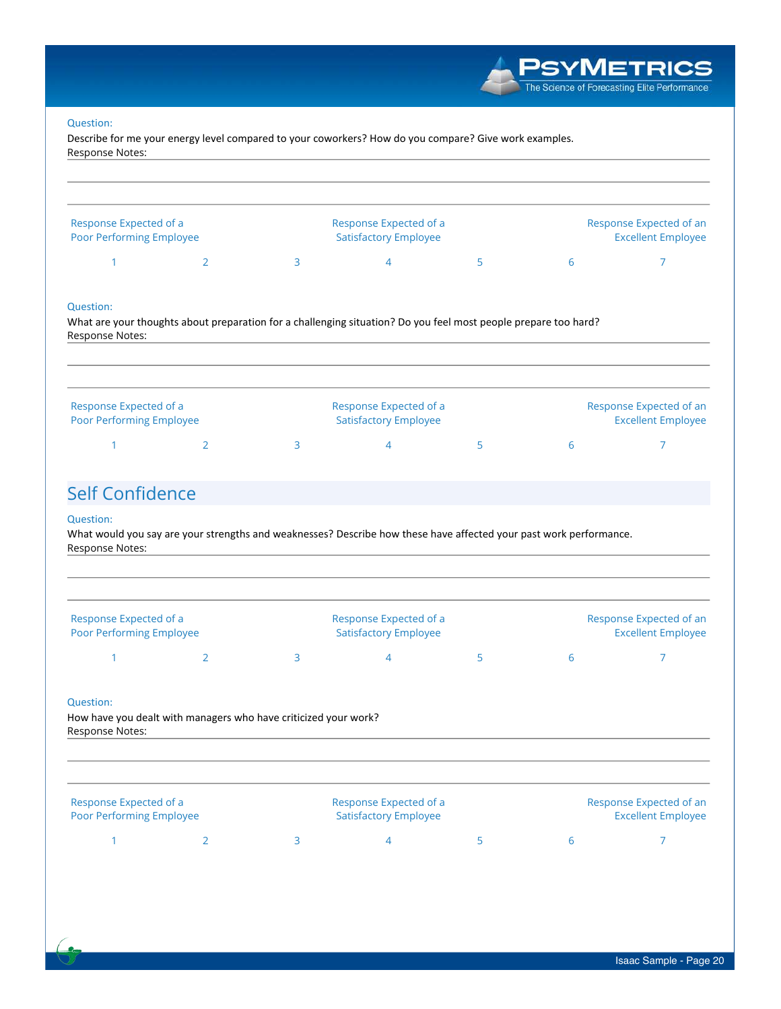Describe for me your energy level compared to your coworkers? How do you compare? Give work examples. Response Notes:

| Response Expected of a<br><b>Poor Performing Employee</b> |   | Response Expected of a<br><b>Satisfactory Employee</b> |   | Response Expected of an<br><b>Excellent Employee</b> |
|-----------------------------------------------------------|---|--------------------------------------------------------|---|------------------------------------------------------|
|                                                           | 3 | 4                                                      | 6 |                                                      |
| Question:                                                 |   |                                                        |   |                                                      |

| Response Expected of a<br><b>Poor Performing Employee</b> |  | Response Expected of a<br><b>Satisfactory Employee</b> |  | Response Expected of an<br><b>Excellent Employee</b> |
|-----------------------------------------------------------|--|--------------------------------------------------------|--|------------------------------------------------------|
|                                                           |  |                                                        |  |                                                      |

## Self Confidence

### Question:

What would you say are your strengths and weaknesses? Describe how these have affected your past work performance. Response Notes:

| Response Expected of a<br>Poor Performing Employee |                                                                 | Response Expected of a<br><b>Satisfactory Employee</b> |   |   | Response Expected of an<br><b>Excellent Employee</b> |
|----------------------------------------------------|-----------------------------------------------------------------|--------------------------------------------------------|---|---|------------------------------------------------------|
|                                                    | 3                                                               | 4                                                      | 5 | 6 |                                                      |
| <b>Question:</b>                                   |                                                                 |                                                        |   |   |                                                      |
| Response Notes:                                    | How have you dealt with managers who have criticized your work? |                                                        |   |   |                                                      |
| Response Expected of a                             |                                                                 | Response Expected of a                                 |   |   | Response Expected of an                              |
| Poor Performing Employee                           |                                                                 | <b>Satisfactory Employee</b>                           |   |   | <b>Excellent Employee</b>                            |

1 2 3 4 5 6 7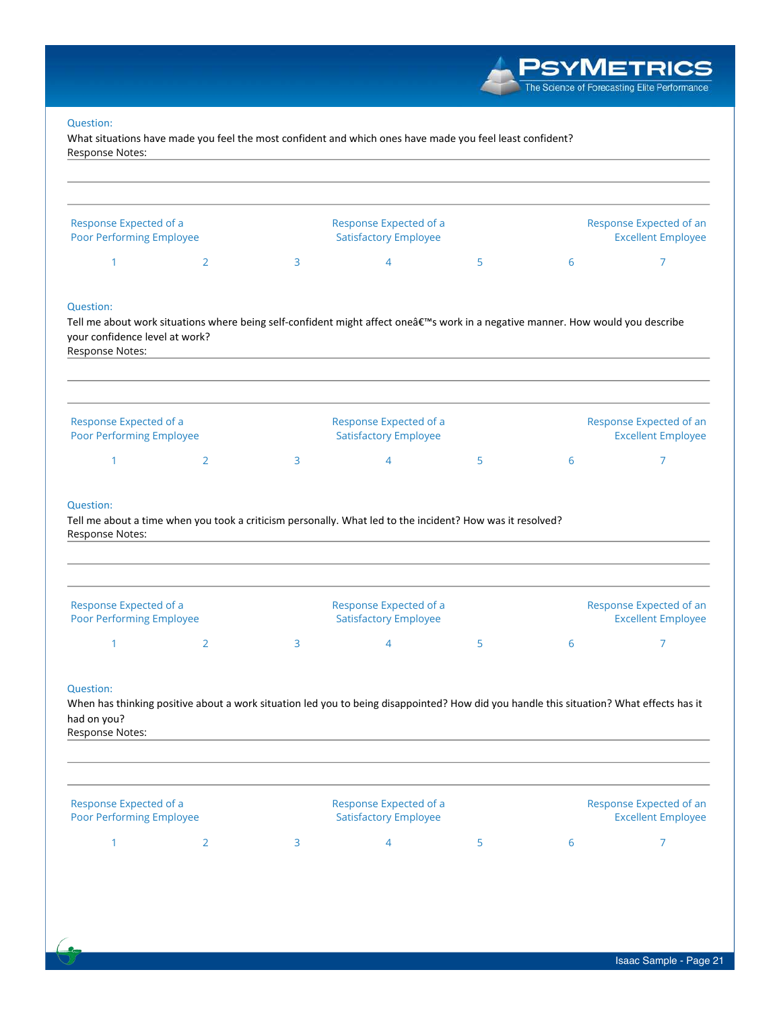What situations have made you feel the most confident and which ones have made you feel least confident? Response Notes:

| Response Expected of a<br><b>Poor Performing Employee</b>                                                                                       |                |   | Response Expected of a<br><b>Satisfactory Employee</b>                                                                                       |   |   | Response Expected of an<br><b>Excellent Employee</b> |
|-------------------------------------------------------------------------------------------------------------------------------------------------|----------------|---|----------------------------------------------------------------------------------------------------------------------------------------------|---|---|------------------------------------------------------|
| 1                                                                                                                                               | 2              | 3 | 4                                                                                                                                            | 5 | 6 | 7                                                    |
| <b>Question:</b><br>your confidence level at work?<br>Response Notes:                                                                           |                |   | Tell me about work situations where being self-confident might affect oneâ€ <sup>™</sup> s work in a negative manner. How would you describe |   |   |                                                      |
| Response Expected of a<br><b>Poor Performing Employee</b>                                                                                       |                |   | Response Expected of a<br><b>Satisfactory Employee</b>                                                                                       |   |   | Response Expected of an<br><b>Excellent Employee</b> |
| $\mathbf{1}$                                                                                                                                    | $\overline{2}$ | 3 | 4                                                                                                                                            | 5 | 6 | 7                                                    |
|                                                                                                                                                 |                |   | Tell me about a time when you took a criticism personally. What led to the incident? How was it resolved?                                    |   |   |                                                      |
|                                                                                                                                                 |                |   | Response Expected of a                                                                                                                       |   |   | Response Expected of an                              |
| 1                                                                                                                                               | $\overline{2}$ | 3 | <b>Satisfactory Employee</b><br>4                                                                                                            | 5 | 6 | <b>Excellent Employee</b><br>7                       |
| <b>Question:</b><br>Response Notes:<br>Response Expected of a<br>Poor Performing Employee<br><b>Question:</b><br>had on you?<br>Response Notes: |                |   | When has thinking positive about a work situation led you to being disappointed? How did you handle this situation? What effects has it      |   |   |                                                      |
| Response Expected of a<br>Poor Performing Employee                                                                                              |                |   | Response Expected of a<br><b>Satisfactory Employee</b>                                                                                       |   |   | Response Expected of an<br><b>Excellent Employee</b> |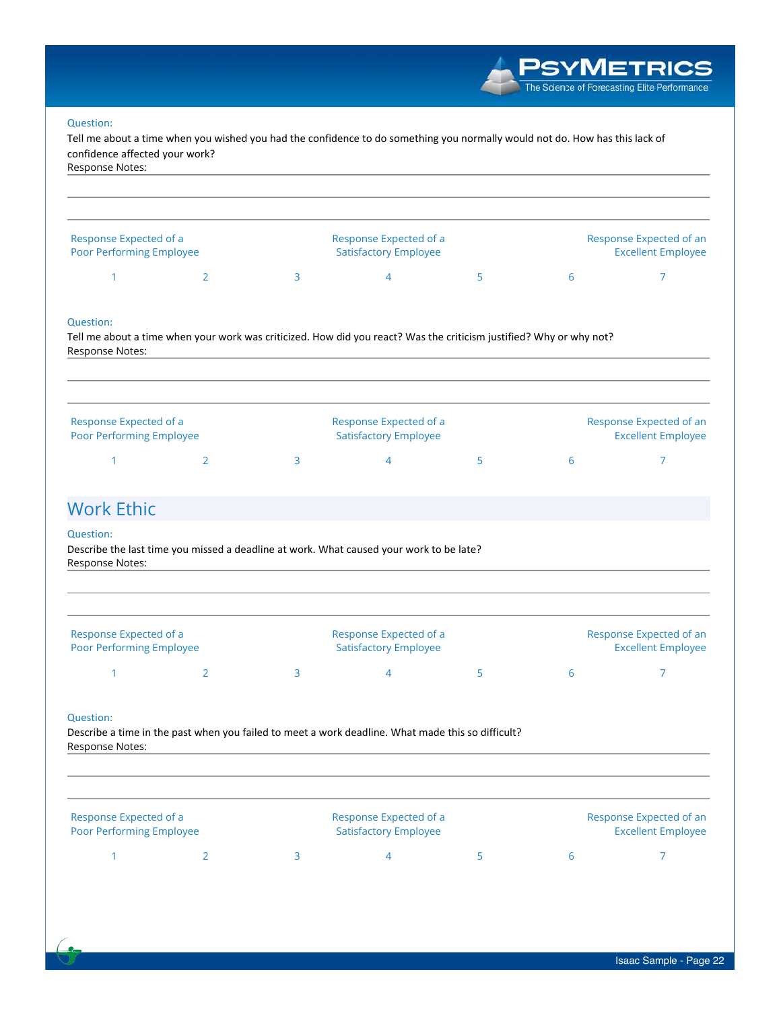| <b>Question:</b><br>confidence affected your work?<br>Response Notes: |                |   | Tell me about a time when you wished you had the confidence to do something you normally would not do. How has this lack of |   |   | METRICS<br>The Science of Forecasting Elite Performance |
|-----------------------------------------------------------------------|----------------|---|-----------------------------------------------------------------------------------------------------------------------------|---|---|---------------------------------------------------------|
| Response Expected of a<br><b>Poor Performing Employee</b>             |                |   | Response Expected of a<br><b>Satisfactory Employee</b>                                                                      |   |   | Response Expected of an<br><b>Excellent Employee</b>    |
| $\mathbf{1}$                                                          | $\overline{2}$ | 3 | 4                                                                                                                           | 5 | 6 | $\overline{7}$                                          |
| Response Notes:                                                       |                |   | Tell me about a time when your work was criticized. How did you react? Was the criticism justified? Why or why not?         |   |   |                                                         |
| Response Expected of a                                                |                |   | Response Expected of a                                                                                                      |   |   | Response Expected of an                                 |
| <b>Poor Performing Employee</b>                                       |                |   | <b>Satisfactory Employee</b>                                                                                                |   |   | <b>Excellent Employee</b>                               |
| 1                                                                     | $\overline{2}$ | 3 | 4                                                                                                                           | 5 | 6 | $\overline{7}$                                          |
| <b>Work Ethic</b>                                                     |                |   |                                                                                                                             |   |   |                                                         |
| Question:<br><b>Response Notes:</b>                                   |                |   | Describe the last time you missed a deadline at work. What caused your work to be late?                                     |   |   |                                                         |
| Response Expected of a<br><b>Poor Performing Employee</b>             |                |   | Response Expected of a<br><b>Satisfactory Employee</b>                                                                      |   |   | Response Expected of an<br><b>Excellent Employee</b>    |

Describe a time in the past when you failed to meet a work deadline. What made this so difficult? Response Notes:

| Response Expected of a<br><b>Poor Performing Employee</b> |  | Response Expected of a<br><b>Satisfactory Employee</b> |  | Response Expected of an<br><b>Excellent Employee</b> |
|-----------------------------------------------------------|--|--------------------------------------------------------|--|------------------------------------------------------|
|                                                           |  |                                                        |  |                                                      |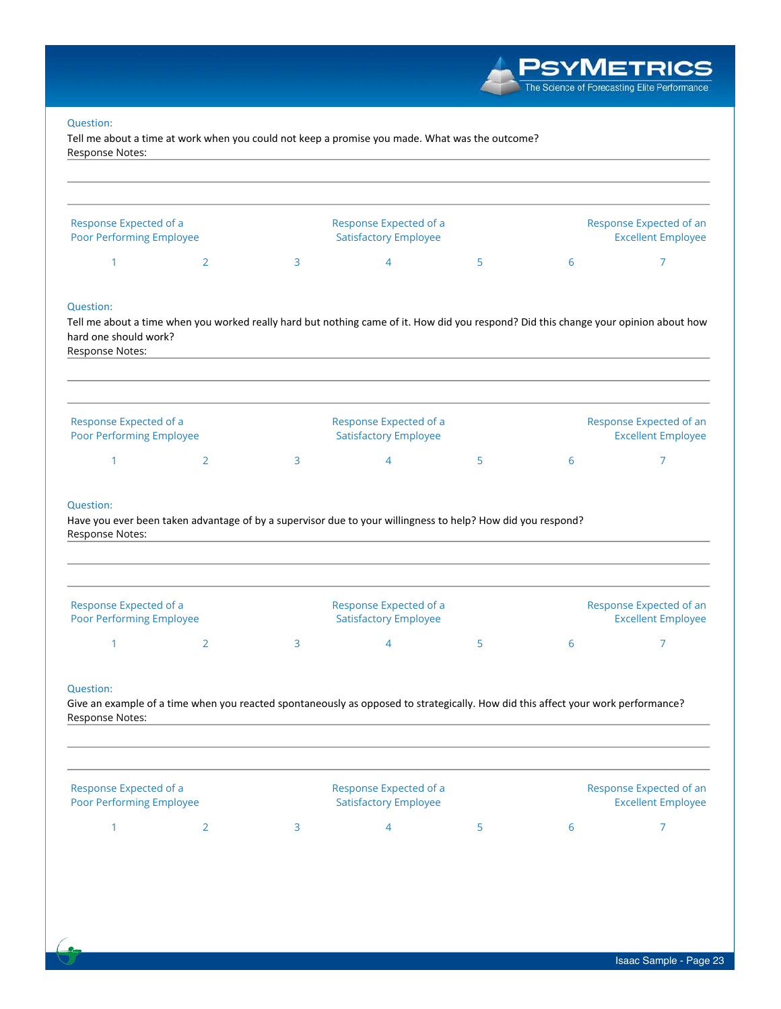Tell me about a time at work when you could not keep a promise you made. What was the outcome? Response Notes:

| Response Expected of a<br><b>Poor Performing Employee</b>                              |                                                                                                                                      |   | Response Expected of a<br><b>Satisfactory Employee</b> |   |   | Response Expected of an<br><b>Excellent Employee</b> |
|----------------------------------------------------------------------------------------|--------------------------------------------------------------------------------------------------------------------------------------|---|--------------------------------------------------------|---|---|------------------------------------------------------|
| 1                                                                                      | $\overline{2}$                                                                                                                       | 3 | $\overline{4}$                                         | 5 | 6 | 7                                                    |
| Question:<br>hard one should work?<br>Response Notes:                                  | Tell me about a time when you worked really hard but nothing came of it. How did you respond? Did this change your opinion about how |   |                                                        |   |   |                                                      |
| Response Expected of a<br><b>Poor Performing Employee</b>                              |                                                                                                                                      |   | Response Expected of a<br><b>Satisfactory Employee</b> |   |   | Response Expected of an<br><b>Excellent Employee</b> |
|                                                                                        |                                                                                                                                      |   |                                                        |   |   |                                                      |
| 1                                                                                      | $\overline{2}$<br>Have you ever been taken advantage of by a supervisor due to your willingness to help? How did you respond?        | 3 | $\overline{4}$                                         | 5 | 6 | 7                                                    |
|                                                                                        |                                                                                                                                      |   | Response Expected of a                                 |   |   | Response Expected of an                              |
| <b>Poor Performing Employee</b><br>1                                                   | $\overline{2}$                                                                                                                       | 3 | <b>Satisfactory Employee</b><br>$\overline{4}$         | 5 | 6 | <b>Excellent Employee</b><br>7                       |
| Question:<br>Response Notes:<br>Response Expected of a<br>Question:<br>Response Notes: | Give an example of a time when you reacted spontaneously as opposed to strategically. How did this affect your work performance?     |   |                                                        |   |   |                                                      |
| Response Expected of a<br><b>Poor Performing Employee</b>                              |                                                                                                                                      |   | Response Expected of a<br><b>Satisfactory Employee</b> |   |   | Response Expected of an<br><b>Excellent Employee</b> |